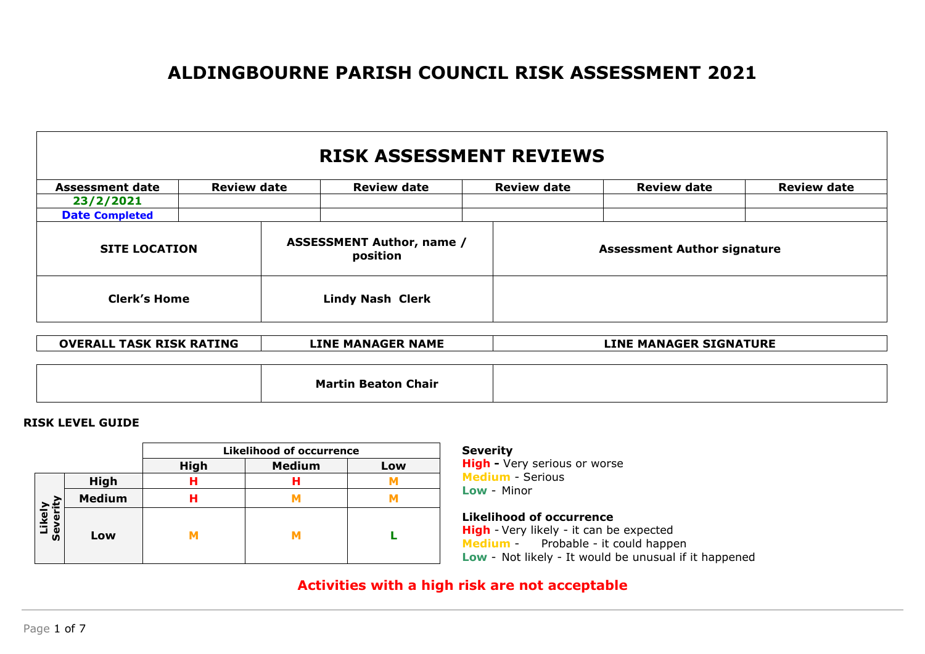# **ALDINGBOURNE PARISH COUNCIL RISK ASSESSMENT 2021**

# **RISK ASSESSMENT REVIEWS**

| <b>Review date</b><br><b>Assessment date</b> |  | <b>Review date</b>                           |                         | <b>Review date</b> | <b>Review date</b>                 | <b>Review date</b> |  |  |  |
|----------------------------------------------|--|----------------------------------------------|-------------------------|--------------------|------------------------------------|--------------------|--|--|--|
| 23/2/2021                                    |  |                                              |                         |                    |                                    |                    |  |  |  |
| <b>Date Completed</b>                        |  |                                              |                         |                    |                                    |                    |  |  |  |
| <b>SITE LOCATION</b>                         |  | <b>ASSESSMENT Author, name /</b><br>position |                         |                    | <b>Assessment Author signature</b> |                    |  |  |  |
| <b>Clerk's Home</b>                          |  |                                              | <b>Lindy Nash Clerk</b> |                    |                                    |                    |  |  |  |

| <b>OVERALL TASK RISK RATING</b> | LINE MANAGER NAME | <b>LINE MANAGER SIGNATURE</b> |
|---------------------------------|-------------------|-------------------------------|
|                                 |                   |                               |

|  | <b>Martin Beaton Chair</b> |  |
|--|----------------------------|--|
|--|----------------------------|--|

### **RISK LEVEL GUIDE**

|                              |               |             | <b>Likelihood of occurrence</b> |     |
|------------------------------|---------------|-------------|---------------------------------|-----|
|                              |               | <b>High</b> | <b>Medium</b>                   | Low |
|                              | <b>High</b>   | н           | н                               |     |
| ÷                            | <b>Medium</b> | н           |                                 |     |
| Likely<br>ω<br>O<br><b>S</b> | Low           |             |                                 |     |

#### **Severity**

**High -** Very serious or worse **Medium** - Serious **Low** - Minor

### **Likelihood of occurrence**

**High** - Very likely - it can be expected **Medium** - Probable - it could happen **Low** - Not likely - It would be unusual if it happened

## **Activities with a high risk are not acceptable**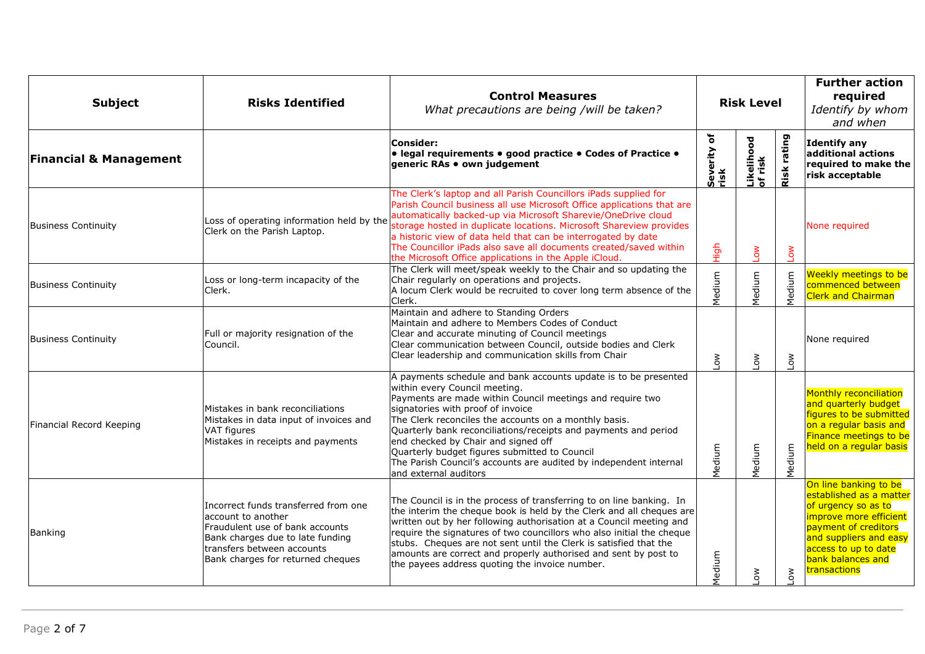| <b>Subject</b>                    | <b>Risks Identified</b>                                                                                                                                                                              | <b>Control Measures</b><br>What precautions are being /will be taken?                                                                                                                                                                                                                                                                                                                                                                                                                                                |                       | <b>Risk Level</b>     |                       | <b>Further action</b><br>required<br>Identify by whom<br>and when                                                                                                                                                |
|-----------------------------------|------------------------------------------------------------------------------------------------------------------------------------------------------------------------------------------------------|----------------------------------------------------------------------------------------------------------------------------------------------------------------------------------------------------------------------------------------------------------------------------------------------------------------------------------------------------------------------------------------------------------------------------------------------------------------------------------------------------------------------|-----------------------|-----------------------|-----------------------|------------------------------------------------------------------------------------------------------------------------------------------------------------------------------------------------------------------|
| <b>Financial &amp; Management</b> |                                                                                                                                                                                                      | Consider:<br>· legal requirements · good practice · Codes of Practice ·<br>generic RAs . own judgement                                                                                                                                                                                                                                                                                                                                                                                                               | đ<br>Severity<br>risk | Likelihood<br>of risk | Risk rating           | <b>Identify any</b><br>additional actions<br>required to make the<br>risk acceptable                                                                                                                             |
| <b>Business Continuity</b>        | Loss of operating information held by the<br>Clerk on the Parish Laptop.                                                                                                                             | The Clerk's laptop and all Parish Councillors iPads supplied for<br>Parish Council business all use Microsoft Office applications that are<br>automatically backed-up via Microsoft Sharevie/OneDrive cloud<br>storage hosted in duplicate locations. Microsoft Shareview provides<br>a historic view of data held that can be interrogated by date<br>The Councillor iPads also save all documents created/saved within<br>the Microsoft Office applications in the Apple iCloud.                                   | High                  | δŅ                    | $\sum_{i=1}^{n}$      | None required                                                                                                                                                                                                    |
| <b>Business Continuity</b>        | Loss or long-term incapacity of the<br>Clerk.                                                                                                                                                        | The Clerk will meet/speak weekly to the Chair and so updating the<br>Chair regularly on operations and projects.<br>A locum Clerk would be recruited to cover long term absence of the<br>Clerk.                                                                                                                                                                                                                                                                                                                     | Medium                | Medium                | Medium                | Weekly meetings to be<br>commenced between<br><b>Clerk and Chairman</b>                                                                                                                                          |
| <b>Business Continuity</b>        | Full or majority resignation of the<br>Council.                                                                                                                                                      | Maintain and adhere to Standing Orders<br>Maintain and adhere to Members Codes of Conduct<br>Clear and accurate minuting of Council meetings<br>Clear communication between Council, outside bodies and Clerk<br>Clear leadership and communication skills from Chair                                                                                                                                                                                                                                                | Low                   | $\sum_{i=1}^{n}$      | Low                   | None required                                                                                                                                                                                                    |
| Financial Record Keeping          | Mistakes in bank reconciliations<br>Mistakes in data input of invoices and<br>VAT figures<br>Mistakes in receipts and payments                                                                       | A payments schedule and bank accounts update is to be presented<br>within every Council meeting.<br>Payments are made within Council meetings and require two<br>signatories with proof of invoice<br>The Clerk reconciles the accounts on a monthly basis.<br>Quarterly bank reconciliations/receipts and payments and period<br>end checked by Chair and signed off<br>Quarterly budget figures submitted to Council<br>The Parish Council's accounts are audited by independent internal<br>and external auditors | Medium                | Medium                | Medium                | Monthly reconciliation<br>and quarterly budget<br>figures to be submitted<br>on a regular basis and<br>Finance meetings to be<br>held on a regular basis                                                         |
| Banking                           | Incorrect funds transferred from one<br>account to another<br>Fraudulent use of bank accounts<br>Bank charges due to late funding<br>transfers between accounts<br>Bank charges for returned cheques | The Council is in the process of transferring to on line banking. In<br>the interim the cheque book is held by the Clerk and all cheques are<br>written out by her following authorisation at a Council meeting and<br>require the signatures of two councillors who also initial the cheque<br>stubs. Cheques are not sent until the Clerk is satisfied that the<br>amounts are correct and properly authorised and sent by post to<br>the payees address quoting the invoice number.                               | Medium                | $\sum_{i=1}^{n}$      | $\sum_{i=1}^{\infty}$ | On line banking to be<br>established as a matter<br>of urgency so as to<br>improve more efficient<br>payment of creditors<br>and suppliers and easy<br>access to up to date<br>bank balances and<br>transactions |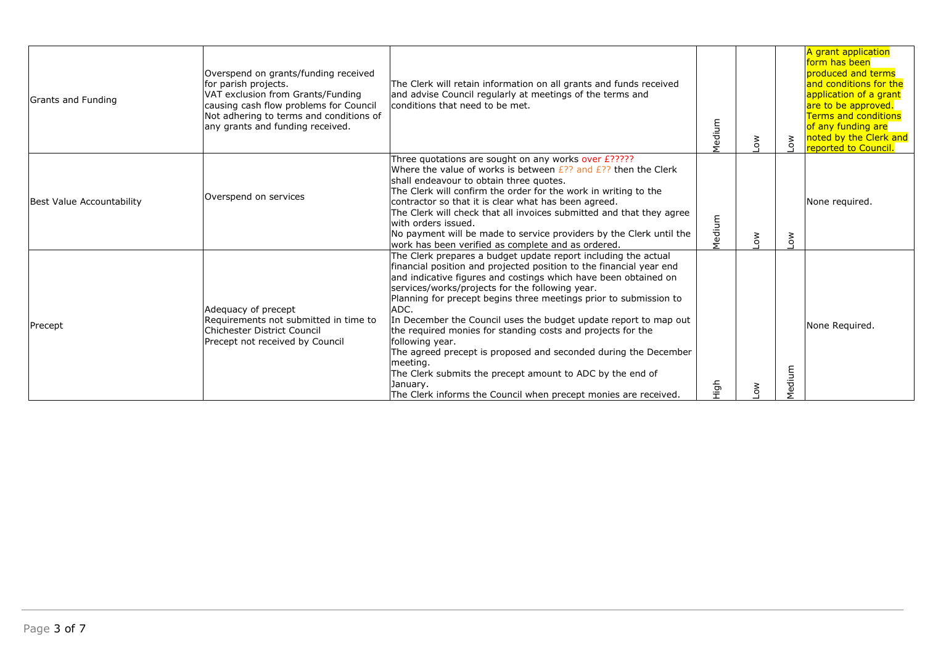| Grants and Funding        | Overspend on grants/funding received<br>for parish projects.<br>VAT exclusion from Grants/Funding<br>causing cash flow problems for Council<br>Not adhering to terms and conditions of<br>lany grants and funding received. | The Clerk will retain information on all grants and funds received<br>and advise Council regularly at meetings of the terms and<br>conditions that need to be met.                                                                                                                                                                                                                                                                                                                                                                                                                                                                                                                                                        | Medium | $\sum_{i=1}^{\infty}$ | $\sim$                 | A grant application<br>form has been<br>produced and terms<br>and conditions for the<br>application of a grant<br>are to be approved.<br><b>Terms and conditions</b><br>of any funding are<br>noted by the Clerk and<br>reported to Council. |
|---------------------------|-----------------------------------------------------------------------------------------------------------------------------------------------------------------------------------------------------------------------------|---------------------------------------------------------------------------------------------------------------------------------------------------------------------------------------------------------------------------------------------------------------------------------------------------------------------------------------------------------------------------------------------------------------------------------------------------------------------------------------------------------------------------------------------------------------------------------------------------------------------------------------------------------------------------------------------------------------------------|--------|-----------------------|------------------------|----------------------------------------------------------------------------------------------------------------------------------------------------------------------------------------------------------------------------------------------|
| Best Value Accountability | Overspend on services                                                                                                                                                                                                       | Three quotations are sought on any works over £?????<br>Where the value of works is between $E$ ?? and $E$ ?? then the Clerk<br>shall endeavour to obtain three quotes.<br>The Clerk will confirm the order for the work in writing to the<br>contractor so that it is clear what has been agreed.<br>The Clerk will check that all invoices submitted and that they agree<br>with orders issued.<br>No payment will be made to service providers by the Clerk until the<br>work has been verified as complete and as ordered.                                                                                                                                                                                            | Medium | $\mathsf{S}$          | $\mathop{\mathrm{SO}}$ | None required.                                                                                                                                                                                                                               |
| Precept                   | Adequacy of precept<br>Requirements not submitted in time to<br>Chichester District Council<br>Precept not received by Council                                                                                              | The Clerk prepares a budget update report including the actual<br>financial position and projected position to the financial year end<br>and indicative figures and costings which have been obtained on<br>services/works/projects for the following year.<br>Planning for precept begins three meetings prior to submission to<br>ADC.<br>In December the Council uses the budget update report to map out<br>the required monies for standing costs and projects for the<br>following year.<br>The agreed precept is proposed and seconded during the December<br>meeting.<br>The Clerk submits the precept amount to ADC by the end of<br>January.<br>The Clerk informs the Council when precept monies are received. | High   | δ                     | Medium                 | None Required.                                                                                                                                                                                                                               |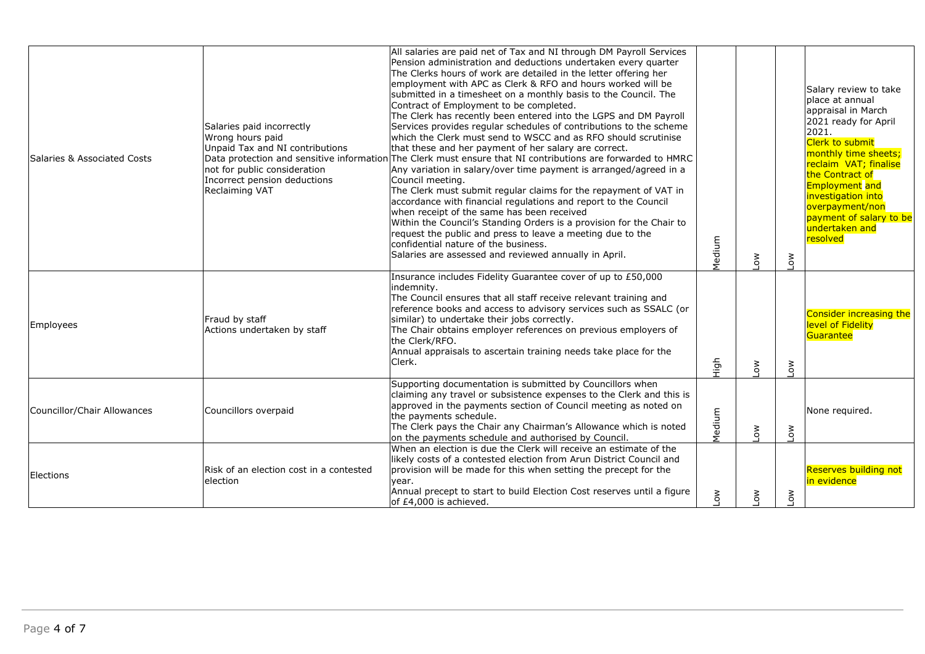| Salaries & Associated Costs | Salaries paid incorrectly<br>Wrong hours paid<br>Unpaid Tax and NI contributions<br>not for public consideration<br>Incorrect pension deductions<br>Reclaiming VAT | All salaries are paid net of Tax and NI through DM Payroll Services<br>Pension administration and deductions undertaken every quarter<br>The Clerks hours of work are detailed in the letter offering her<br>employment with APC as Clerk & RFO and hours worked will be<br>submitted in a timesheet on a monthly basis to the Council. The<br>Contract of Employment to be completed.<br>The Clerk has recently been entered into the LGPS and DM Payroll<br>Services provides regular schedules of contributions to the scheme<br>which the Clerk must send to WSCC and as RFO should scrutinise<br>that these and her payment of her salary are correct.<br>Data protection and sensitive information The Clerk must ensure that NI contributions are forwarded to HMRC<br>Any variation in salary/over time payment is arranged/agreed in a<br>Council meeting.<br>The Clerk must submit regular claims for the repayment of VAT in<br>accordance with financial regulations and report to the Council<br>when receipt of the same has been received<br>Within the Council's Standing Orders is a provision for the Chair to<br>request the public and press to leave a meeting due to the<br>confidential nature of the business.<br>Salaries are assessed and reviewed annually in April. | Medium           | $\sum_{i=1}^{n}$ | $\sum_{i=1}^{n}$ | Salary review to take<br>place at annual<br>appraisal in March<br>2021 ready for April<br>2021.<br><b>Clerk to submit</b><br>monthly time sheets;<br>reclaim VAT; finalise<br>the Contract of<br><b>Employment</b> and<br><b>investigation into</b><br>overpayment/non<br>payment of salary to be<br>undertaken and<br>resolved |
|-----------------------------|--------------------------------------------------------------------------------------------------------------------------------------------------------------------|-------------------------------------------------------------------------------------------------------------------------------------------------------------------------------------------------------------------------------------------------------------------------------------------------------------------------------------------------------------------------------------------------------------------------------------------------------------------------------------------------------------------------------------------------------------------------------------------------------------------------------------------------------------------------------------------------------------------------------------------------------------------------------------------------------------------------------------------------------------------------------------------------------------------------------------------------------------------------------------------------------------------------------------------------------------------------------------------------------------------------------------------------------------------------------------------------------------------------------------------------------------------------------------------------|------------------|------------------|------------------|---------------------------------------------------------------------------------------------------------------------------------------------------------------------------------------------------------------------------------------------------------------------------------------------------------------------------------|
| Employees                   | Fraud by staff<br>Actions undertaken by staff                                                                                                                      | Insurance includes Fidelity Guarantee cover of up to £50,000<br>indemnity.<br>The Council ensures that all staff receive relevant training and<br>reference books and access to advisory services such as SSALC (or<br>similar) to undertake their jobs correctly.<br>The Chair obtains employer references on previous employers of<br>the Clerk/RFO.<br>Annual appraisals to ascertain training needs take place for the<br>Clerk.                                                                                                                                                                                                                                                                                                                                                                                                                                                                                                                                                                                                                                                                                                                                                                                                                                                            | High             | $\sum_{i=1}^{n}$ | <b>NOT</b>       | Consider increasing the<br>level of Fidelity<br>Guarantee                                                                                                                                                                                                                                                                       |
| Councillor/Chair Allowances | Councillors overpaid                                                                                                                                               | Supporting documentation is submitted by Councillors when<br>claiming any travel or subsistence expenses to the Clerk and this is<br>approved in the payments section of Council meeting as noted on<br>the payments schedule.<br>The Clerk pays the Chair any Chairman's Allowance which is noted<br>on the payments schedule and authorised by Council.                                                                                                                                                                                                                                                                                                                                                                                                                                                                                                                                                                                                                                                                                                                                                                                                                                                                                                                                       | Medium           | 20W              | <b>NOT</b>       | None required.                                                                                                                                                                                                                                                                                                                  |
| Elections                   | Risk of an election cost in a contested<br>election                                                                                                                | When an election is due the Clerk will receive an estimate of the<br>likely costs of a contested election from Arun District Council and<br>provision will be made for this when setting the precept for the<br>vear.<br>Annual precept to start to build Election Cost reserves until a figure<br>of £4,000 is achieved.                                                                                                                                                                                                                                                                                                                                                                                                                                                                                                                                                                                                                                                                                                                                                                                                                                                                                                                                                                       | $\sum_{i=1}^{n}$ | δŅ               | $\sum_{i=1}^{n}$ | Reserves building not<br>in evidence                                                                                                                                                                                                                                                                                            |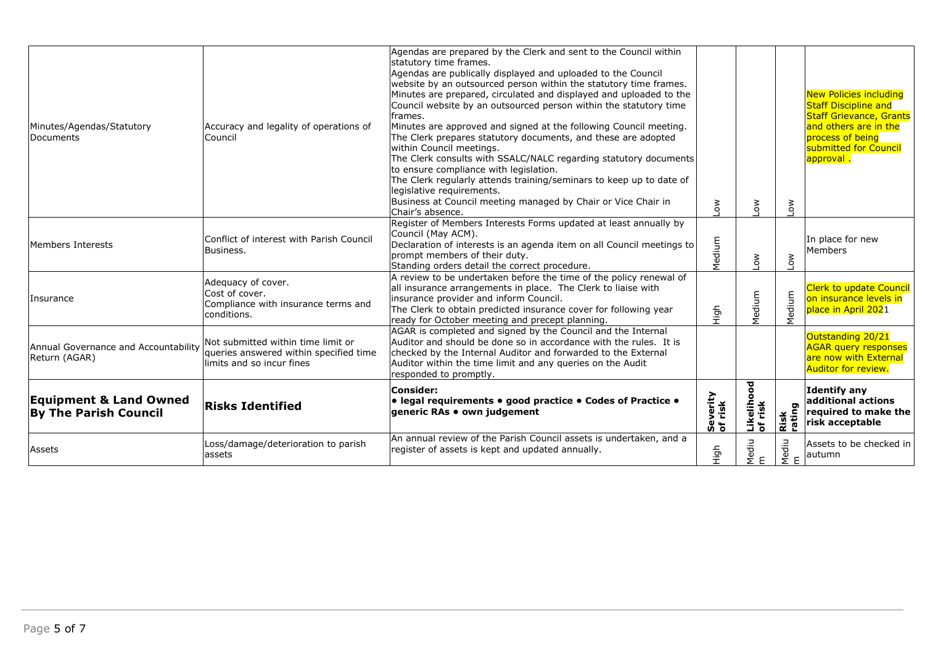| Assets                                                            | Loss/damage/deterioration to parish<br>assets                                                             | An annual review of the Parish Council assets is undertaken, and a<br>register of assets is kept and updated annually.                                                                                                                                                                                                                                                                                                                                                                                                                                                                                                                                                                                                                                                                                                                                         | $\frac{1}{2}$         | Mediu<br>$\mathbf{a}$ |                  | $\frac{1}{8}$ Assets to<br>$\frac{1}{8}$ E autumn<br>Assets to be checked in                                                                                                      |
|-------------------------------------------------------------------|-----------------------------------------------------------------------------------------------------------|----------------------------------------------------------------------------------------------------------------------------------------------------------------------------------------------------------------------------------------------------------------------------------------------------------------------------------------------------------------------------------------------------------------------------------------------------------------------------------------------------------------------------------------------------------------------------------------------------------------------------------------------------------------------------------------------------------------------------------------------------------------------------------------------------------------------------------------------------------------|-----------------------|-----------------------|------------------|-----------------------------------------------------------------------------------------------------------------------------------------------------------------------------------|
| <b>Equipment &amp; Land Owned</b><br><b>By The Parish Council</b> | <b>Risks Identified</b>                                                                                   | <b>Consider:</b><br>• legal requirements • good practice • Codes of Practice •<br>generic RAs ● own judgement                                                                                                                                                                                                                                                                                                                                                                                                                                                                                                                                                                                                                                                                                                                                                  | Severity<br>of risk   | Likelihood<br>of risk | Risk<br>rating   | <b>Identify any</b><br>additional actions<br>required to make the<br>risk acceptable                                                                                              |
| Annual Governance and Accountability<br>Return (AGAR)             | Not submitted within time limit or<br>queries answered within specified time<br>limits and so incur fines | AGAR is completed and signed by the Council and the Internal<br>Auditor and should be done so in accordance with the rules. It is<br>checked by the Internal Auditor and forwarded to the External<br>Auditor within the time limit and any queries on the Audit<br>responded to promptly.                                                                                                                                                                                                                                                                                                                                                                                                                                                                                                                                                                     |                       |                       |                  | Outstanding 20/21<br><b>AGAR query responses</b><br>are now with External<br><b>Auditor for review.</b>                                                                           |
| <i>Insurance</i>                                                  | Adequacy of cover.<br>Cost of cover.<br>Compliance with insurance terms and<br>conditions.                | A review to be undertaken before the time of the policy renewal of<br>all insurance arrangements in place. The Clerk to liaise with<br>insurance provider and inform Council.<br>The Clerk to obtain predicted insurance cover for following year<br>ready for October meeting and precept planning.                                                                                                                                                                                                                                                                                                                                                                                                                                                                                                                                                           | $\frac{1}{2}$         | Aedium                | edium            | <b>Clerk to update Council</b><br>on insurance levels in<br>place in April 2021                                                                                                   |
| Members Interests                                                 | Conflict of interest with Parish Council<br>Business.                                                     | Register of Members Interests Forms updated at least annually by<br>Council (May ACM).<br>Declaration of interests is an agenda item on all Council meetings to<br>prompt members of their duty.<br>Standing orders detail the correct procedure.                                                                                                                                                                                                                                                                                                                                                                                                                                                                                                                                                                                                              | Medium                | $\sum_{i=1}^{n}$      | $\delta$         | In place for new<br><b>Members</b>                                                                                                                                                |
| Minutes/Agendas/Statutory<br>Documents                            | Accuracy and legality of operations of<br>Council                                                         | Agendas are prepared by the Clerk and sent to the Council within<br>statutory time frames.<br>Agendas are publically displayed and uploaded to the Council<br>website by an outsourced person within the statutory time frames.<br>Minutes are prepared, circulated and displayed and uploaded to the<br>Council website by an outsourced person within the statutory time<br>frames.<br>Minutes are approved and signed at the following Council meeting.<br>The Clerk prepares statutory documents, and these are adopted<br>within Council meetings.<br>The Clerk consults with SSALC/NALC regarding statutory documents<br>to ensure compliance with legislation.<br>The Clerk regularly attends training/seminars to keep up to date of<br>legislative requirements.<br>Business at Council meeting managed by Chair or Vice Chair in<br>Chair's absence. | $\sum_{i=1}^{\infty}$ | $\tilde{\varepsilon}$ | $\sum_{i=1}^{n}$ | <b>New Policies including</b><br><b>Staff Discipline and</b><br><b>Staff Grievance, Grants</b><br>and others are in the<br>process of being<br>submitted for Council<br>approval. |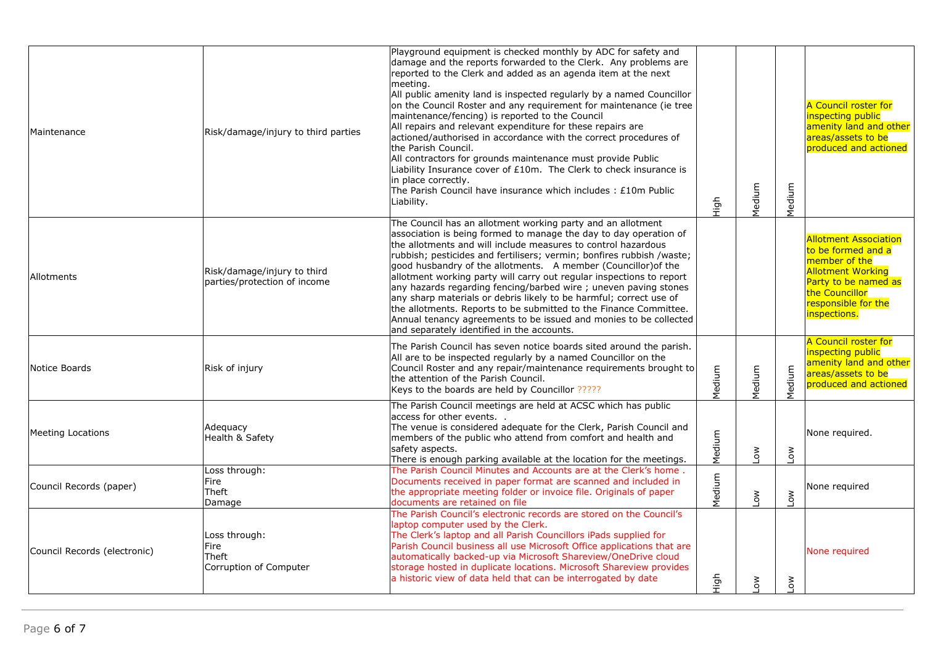| Maintenance                  | Risk/damage/injury to third parties                         | Playground equipment is checked monthly by ADC for safety and<br>damage and the reports forwarded to the Clerk. Any problems are<br>reported to the Clerk and added as an agenda item at the next<br>meeting.<br>All public amenity land is inspected regularly by a named Councillor<br>on the Council Roster and any requirement for maintenance (ie tree<br>maintenance/fencing) is reported to the Council<br>All repairs and relevant expenditure for these repairs are<br>actioned/authorised in accordance with the correct procedures of<br>the Parish Council.<br>All contractors for grounds maintenance must provide Public<br>Liability Insurance cover of £10m. The Clerk to check insurance is<br>in place correctly.<br>The Parish Council have insurance which includes: £10m Public<br>Liability. | High   | Medium           | Medium                | A Council roster for<br>inspecting public<br>amenity land and other<br>areas/assets to be<br>produced and actioned                                                               |
|------------------------------|-------------------------------------------------------------|--------------------------------------------------------------------------------------------------------------------------------------------------------------------------------------------------------------------------------------------------------------------------------------------------------------------------------------------------------------------------------------------------------------------------------------------------------------------------------------------------------------------------------------------------------------------------------------------------------------------------------------------------------------------------------------------------------------------------------------------------------------------------------------------------------------------|--------|------------------|-----------------------|----------------------------------------------------------------------------------------------------------------------------------------------------------------------------------|
| Allotments                   | Risk/damage/injury to third<br>parties/protection of income | The Council has an allotment working party and an allotment<br>association is being formed to manage the day to day operation of<br>the allotments and will include measures to control hazardous<br>rubbish; pesticides and fertilisers; vermin; bonfires rubbish /waste;<br>good husbandry of the allotments. A member (Councillor) of the<br>allotment working party will carry out regular inspections to report<br>any hazards regarding fencing/barbed wire; uneven paving stones<br>any sharp materials or debris likely to be harmful; correct use of<br>the allotments. Reports to be submitted to the Finance Committee.<br>Annual tenancy agreements to be issued and monies to be collected<br>and separately identified in the accounts.                                                              |        |                  |                       | <b>Allotment Association</b><br>to be formed and a<br>member of the<br><b>Allotment Working</b><br>Party to be named as<br>the Councillor<br>responsible for the<br>inspections. |
| Notice Boards                | Risk of injury                                              | The Parish Council has seven notice boards sited around the parish.<br>All are to be inspected regularly by a named Councillor on the<br>Council Roster and any repair/maintenance requirements brought to<br>the attention of the Parish Council.<br>Keys to the boards are held by Councillor ?????                                                                                                                                                                                                                                                                                                                                                                                                                                                                                                              | Medium | Medium           | Medium                | A Council roster for<br>inspecting public<br>amenity land and other<br>areas/assets to be<br>produced and actioned                                                               |
| <b>Meeting Locations</b>     | Adequacy<br>Health & Safety                                 | The Parish Council meetings are held at ACSC which has public<br>access for other events.<br>The venue is considered adequate for the Clerk, Parish Council and<br>members of the public who attend from comfort and health and<br>safety aspects.<br>There is enough parking available at the location for the meetings.                                                                                                                                                                                                                                                                                                                                                                                                                                                                                          | Medium | $\sum_{i=1}^{n}$ | $\sum_{i=1}^{\infty}$ | None required.                                                                                                                                                                   |
| Council Records (paper)      | Loss through:<br>Fire<br>Theft<br>Damage                    | The Parish Council Minutes and Accounts are at the Clerk's home.<br>Documents received in paper format are scanned and included in<br>the appropriate meeting folder or invoice file. Originals of paper<br>documents are retained on file                                                                                                                                                                                                                                                                                                                                                                                                                                                                                                                                                                         | Medium | $\sum_{i=1}^{n}$ | $\sum_{i=1}^{n}$      | None required                                                                                                                                                                    |
| Council Records (electronic) | Loss through:<br>Fire<br>Theft<br>Corruption of Computer    | The Parish Council's electronic records are stored on the Council's<br>laptop computer used by the Clerk.<br>The Clerk's laptop and all Parish Councillors iPads supplied for<br>Parish Council business all use Microsoft Office applications that are<br>automatically backed-up via Microsoft Shareview/OneDrive cloud<br>storage hosted in duplicate locations. Microsoft Shareview provides<br>a historic view of data held that can be interrogated by date                                                                                                                                                                                                                                                                                                                                                  | High   | $\sum_{i=1}^{n}$ | $\sim$                | None required                                                                                                                                                                    |